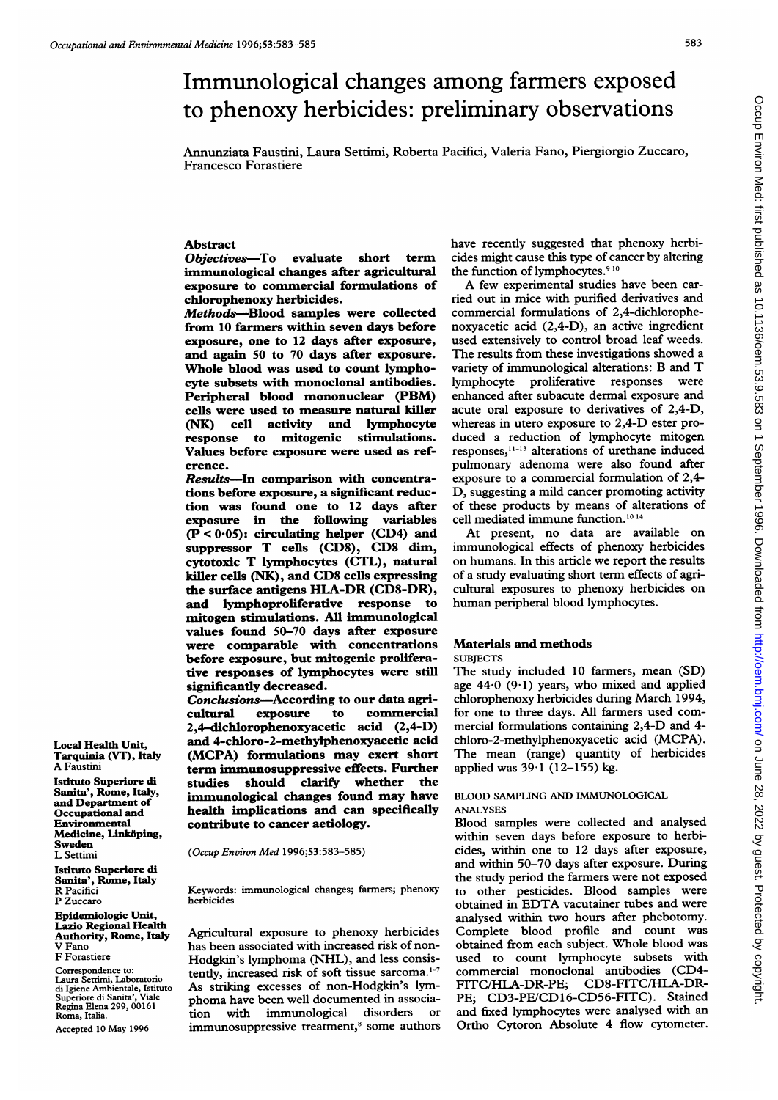# Immunological changes among farmers exposed to phenoxy herbicides: preliminary observations

Annunziata Faustini, Laura Settimi, Roberta Pacifici, Valeria Fano, Piergiorgio Zuccaro, Francesco Forastiere

## Abstract

Objectives-To evaluate short term immunological changes after agricultural exposure to commercial formulations of chlorophenoxy herbicides.

Methods-Blood samples were collected from 10 farmers within seven days before exposure, one to 12 days after exposure, and again 50 to 70 days after exposure. Whole blood was used to count lymphocyte subsets with monoclonal antibodies. Peripheral blood mononuclear (PBM) cells were used to measure natural killer (NK) cell activity and lymphocyte response to mitogenic stimulations. Values before exposure were used as reference.

Results-In comparison with concentrations before exposure, a significant reduction was found one to 12 days after exposure in the following variables  $(P < 0.05)$ : circulating helper (CD4) and suppressor T cells (CD8), CD8 dim, cytotoxic T lymphocytes (CTL), natural killer cells (NK), and CD8 cells expressing the surface antigens HLA-DR (CD8-DR), and lymphoproliferative response to mitogen stimulations. All immunological values found 50-70 days after exposure were comparable with concentrations before exposure, but mitogenic proliferative responses of lymphocytes were still significantly decreased.

Conclusions-According to our data agricultural exposure to commercial 2,4-dichlorophenoxyacetic acid (2,4-D) and 4-chloro-2-methylphenoxyacetic acid (MCPA) formulations may exert short term immunosuppressive effects. Further studies should clarify whether the immunological changes found may have health implications and can specifically contribute to cancer aetiology.

(Occup Environ Med 1996;53:583-585)

Keywords: immunological changes; farmers; phenoxy herbicides

Agricultural exposure to phenoxy herbicides has been associated with increased risk of non-Hodgkin's lymphoma (NHL), and less consistently, increased risk of soft tissue sarcoma.<sup>1-7</sup> As striking excesses of non-Hodgkin's lymphoma have been well documented in associa-<br>tion with immunological disorders or tion with immunological disorders immunosuppressive treatment,<sup>8</sup> some authors have recently suggested that phenoxy herbicides might cause this type of cancer by altering the function of lymphocytes.<sup>910</sup>

A few experimental studies have been carried out in mice with purified derivatives and commercial formulations of 2,4-dichlorophenoxyacetic acid (2,4-D), an active ingredient used extensively to control broad leaf weeds. The results from these investigations showed a variety of immunological alterations: B and T lymphocyte proliferative responses were enhanced after subacute dermal exposure and acute oral exposure to derivatives of 2,4-D, whereas in utero exposure to 2,4-D ester produced a reduction of lymphocyte mitogen responses, $11-13$  alterations of urethane induced pulmonary adenoma were also found after exposure to a commercial formulation of 2,4- D, suggesting a mild cancer promoting activity of these products by means of alterations of cell mediated immune function.'0 <sup>14</sup>

At present, no data are available on immunological effects of phenoxy herbicides on humans. In this article we report the results of a study evaluating short term effects of agricultural exposures to phenoxy herbicides on human peripheral blood lymphocytes.

## Materials and methods **SUBJECTS**

The study included 10 farmers, mean (SD) age  $44.0$  (9.1) years, who mixed and applied chlorophenoxy herbicides during March 1994, for one to three days. All farmers used commercial formulations containing 2,4-D and 4 chloro-2-methylphenoxyacetic acid (MCPA). The mean (range) quantity of herbicides applied was  $39.1$  (12-155) kg.

# BLOOD SAMPLING AND IMMUNOLOGICAL ANALYSES

Blood samples were collected and analysed within seven days before exposure to herbicides, within one to 12 days after exposure, and within 50-70 days after exposure. During the study period the farmers were not exposed to other pesticides. Blood samples were obtained in EDTA vacutainer tubes and were analysed within two hours after phebotomy. Complete blood profile and count was obtained from each subject. Whole blood was used to count lymphocyte subsets with commercial monoclonal antibodies (CD4- FITC/HLA-DR-PE; CD8-FITC/HLA-DR-PE: CD3-PE/CD16-CD56-FITC). Stained and fixed lymphocytes were analysed with an Ortho Cytoron Absolute 4 flow cytometer.

Tarquinia (VT), Italy A Faustini Istituto Superiore di Sanita', Rome, Italy, and Department of Occupational and Environmental Medicine, Linkdping,

Local Health Unit,

Sweden L Settimi

Istituto Superiore di Sanita', Rome, Italy R Pacifici P Zuccaro

Epidemiologic Unit, Lazio Regional Health Authority, Rome, Italy V Fano F Forastiere

Correspondence to: Laura Settimi, Laboratorio di Igiene Ambientale, Istituto Superiore di Sanita', Viale Regina Elena 299, 00161 Roma, Italia.

Accepted 10 May 1996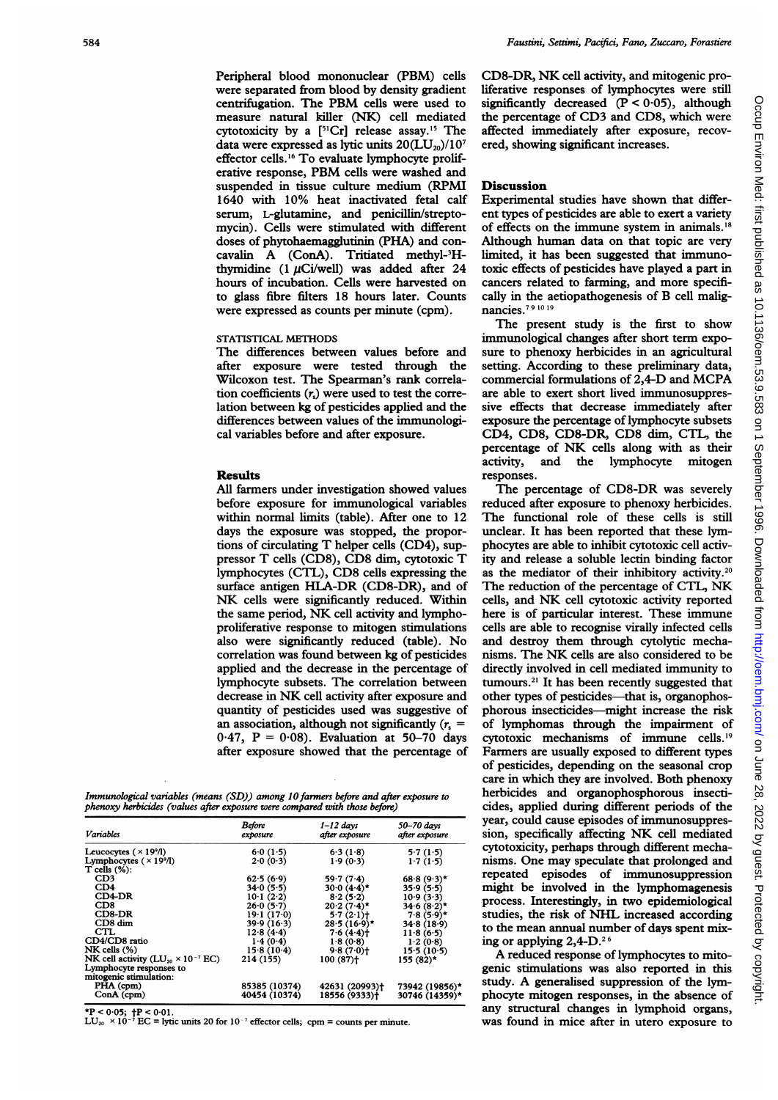Peripheral blood mononuclear (PBM) cells were separated from blood by density gradient centrifugation. The PBM cells were used to measure natural killer (NK) cell mediated cytotoxicity by a  $[5^1Cr]$  release assay.<sup>15</sup> The data were expressed as lytic units  $20(LU_{20})/10^7$ effector cells.'6 To evaluate lymphocyte proliferative response, PBM cells were washed and suspended in tissue culture medium (RPMI 1640 with 10% heat inactivated fetal calf serum, L-glutamine, and penicillin/streptomycin). Cells were stimulated with different doses of phytohaemagglutinin (PHA) and concavalin A (ConA). Tritiated methyl-3Hthymidine  $(1 \tU C i/well)$  was added after 24 hours of incubation. Cells were harvested on to glass fibre filters 18 hours later. Counts were expressed as counts per minute (cpm).

# STATISTICAL METHODS

The differences between values before and after exposure were tested through the Wilcoxon test. The Spearman's rank correlation coefficients  $(r<sub>s</sub>)$  were used to test the correlation between kg of pesticides applied and the differences between values of the immunological variables before and after exposure.

## Results

All farmers under investigation showed values before exposure for immunological variables within normal limits (table). After one to 12 days the exposure was stopped, the proportions of circulating T helper cells (CD4), suppressor T cells (CD8), CD8 dim, cytotoxic T lymphocytes (CTL), CD8 cells expressing the surface antigen HLA-DR (CD8-DR), and of NK cells were significantly reduced. Within the same period, NK cell activity and lymphoproliferative response to mitogen stimulations also were significantly reduced (table). No correlation was found between kg of pesticides applied and the decrease in the percentage of lymphocyte subsets. The correlation between decrease in NK cell activity after exposure and quantity of pesticides used was suggestive of an association, although not significantly  $(r_0 =$  $0.47$ ,  $P = 0.08$ ). Evaluation at 50-70 days after exposure showed that the percentage of

Immunological variables (means (SD)) among 10 farmers before and after exposure to phenoxy herbicides (values after exposure were compared with those before)

| Variables                                                                                            | Before<br>exposure | $1 - 12$ days<br>after exposure | 50-70 days<br>after exposure |
|------------------------------------------------------------------------------------------------------|--------------------|---------------------------------|------------------------------|
| Leucocytes $(\times 19\%$                                                                            | 6.0(1.5)           | 6.3(1.8)                        | 5.7(1.5)                     |
| Lymphocytes $(\times 19\%$<br>$T$ cells $(\%)$ :                                                     | 2.0(0.3)           | 1.9(0.3)                        | 1.7(1.5)                     |
| CD3                                                                                                  | 62.5(6.9)          | 59.7(7.4)                       | $68.8(9.3)$ *                |
| CD4                                                                                                  | 34.0(5.5)          | $30.0(4.4)$ *                   | 35.9(5.5)                    |
| $CD4-DR$                                                                                             | 10.1(2.2)          | 8.2(5.2)                        | 10.9(3.3)                    |
| CD8                                                                                                  | 26.0(5.7)          | $20.2(7.4)$ *                   | $34.6(8.2)$ *                |
| $CD8-DR$                                                                                             | 19.1(17.0)         | 5.7(2.1)                        | $7.8(5.9)$ *                 |
| $CD8 \dim$                                                                                           | 39.9(16.3)         | $28.5(16.9)$ *                  | 34.8(18.9)                   |
| CTL                                                                                                  | 12.8(4.4)          | 7.6(4.4)                        | 11.8(6.5)                    |
| CD4/CD8 ratio                                                                                        | 1.4(0.4)           | 1.8(0.8)                        | 1.2(0.8)                     |
| $NK$ cells $(\%)$                                                                                    | 15.8(10.4)         | 9.8(7.0)                        | 15.5(10.5)                   |
| NK cell activity ( $LU_{20} \times 10^{-7}$ EC)<br>Lymphocyte responses to<br>mitogenic stimulation: | 214 (155)          | $100(87)$ <sup>+</sup>          | 155 (82)*                    |
| PHA (cpm)                                                                                            | 85385 (10374)      | 42631 (20993) <sup>+</sup>      | 73942 (19856)*               |
| ConA (cpm)                                                                                           | 40454 (10374)      | 18556 (9333)†                   | 30746 (14359)*               |

\*P < 0.05;  $\dagger$ P < 0.01.<br>LU<sub>20</sub> × 10<sup>-7</sup> EC = lytic units 20 for 10<sup>-7</sup> effector cells; cpm = counts per minute.

CD8-DR, NK cell activity, and mitogenic proliferative responses of lymphocytes were still significantly decreased  $(P < 0.05)$ , although the percentage of CD3 and CD8, which were affected immediately after exposure, recovered, showing significant increases.

## Discussion

Experimental studies have shown that different types of pesticides are able to exert a variety of effects on the immune system in animals.'8 Although human data on that topic are very limited, it has been suggested that immunotoxic effects of pesticides have played a part in cancers related to farming, and more specifically in the aetiopathogenesis of B cell malignancies.<sup>79 10 19</sup>

The present study is the first to show immunological changes after short term exposure to phenoxy herbicides in an agricultural setting. According to these preliminary data, commercial formulations of 2,4-D and MCPA are able to exert short lived immunosuppressive effects that decrease immediately after exposure the percentage of lymphocyte subsets CD4, CD8, CD8-DR, CD8 dim, CTL, the percentage of NK cells along with as their<br>activity, and the lymphocyte mitogen and the lymphocyte mitogen responses.

The percentage of CD8-DR was severely reduced after exposure to phenoxy herbicides. The functional role of these cells is still unclear. It has been reported that these lymphocytes are able to inhibit cytotoxic cell activity and release a soluble lectin binding factor as the mediator of their inhibitory activity.<sup>20</sup> The reduction of the percentage of CTL, NK cells, and NK cell cytotoxic activity reported here is of particular interest. These immune cells are able to recognise virally infected cells and destroy them through cytolytic mechanisms. The NK cells are also considered to be directly involved in cell mediated immunity to tumours.<sup>21</sup> It has been recently suggested that other types of pesticides-that is, organophosphorous insecticides-might increase the risk of lymphomas through the impairment of cytotoxic mechanisms of immune cells.'9 Farmers are usually exposed to different types of pesticides, depending on the seasonal crop care in which they are involved. Both phenoxy herbicides and organophosphorous insecticides, applied during different periods of the year, could cause episodes of immunosuppression, specifically affecting NK cell mediated cytotoxicity, perhaps through different mechanisms. One may speculate that prolonged and repeated episodes of immunosuppression might be involved in the lymphomagenesis process. Interestingly, in two epidemiological studies, the risk of NHL increased according to the mean annual number of days spent mixing or applying  $2,4$ -D.<sup>26</sup>

A reduced response of lymphocytes to mitogenic stimulations was also reported in this study. A generalised suppression of the lymphocyte mitogen responses, in the absence of any structural changes in lymphoid organs, was found in mice after in utero exposure to